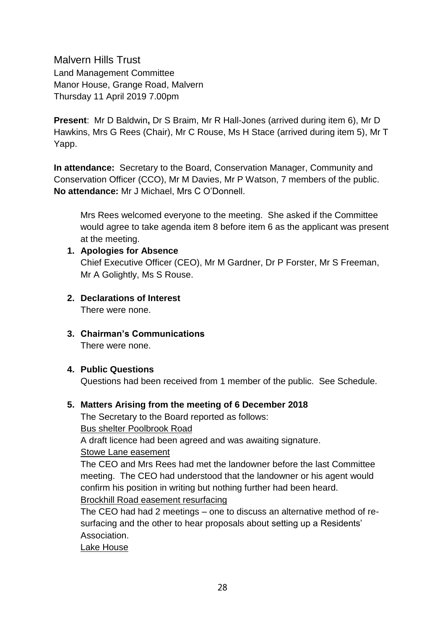Malvern Hills Trust Land Management Committee Manor House, Grange Road, Malvern Thursday 11 April 2019 7.00pm

**Present**: Mr D Baldwin**,** Dr S Braim, Mr R Hall-Jones (arrived during item 6), Mr D Hawkins, Mrs G Rees (Chair), Mr C Rouse, Ms H Stace (arrived during item 5), Mr T Yapp.

**In attendance:** Secretary to the Board, Conservation Manager, Community and Conservation Officer (CCO), Mr M Davies, Mr P Watson, 7 members of the public. **No attendance:** Mr J Michael, Mrs C O'Donnell.

Mrs Rees welcomed everyone to the meeting. She asked if the Committee would agree to take agenda item 8 before item 6 as the applicant was present at the meeting.

## **1. Apologies for Absence**

Chief Executive Officer (CEO), Mr M Gardner, Dr P Forster, Mr S Freeman, Mr A Golightly, Ms S Rouse.

- **2. Declarations of Interest** There were none.
- **3. Chairman's Communications** There were none.

#### **4. Public Questions**

Questions had been received from 1 member of the public. See Schedule.

## **5. Matters Arising from the meeting of 6 December 2018**

The Secretary to the Board reported as follows: Bus shelter Poolbrook Road A draft licence had been agreed and was awaiting signature. Stowe Lane easement

The CEO and Mrs Rees had met the landowner before the last Committee meeting. The CEO had understood that the landowner or his agent would confirm his position in writing but nothing further had been heard. Brockhill Road easement resurfacing

The CEO had had 2 meetings – one to discuss an alternative method of resurfacing and the other to hear proposals about setting up a Residents' Association.

Lake House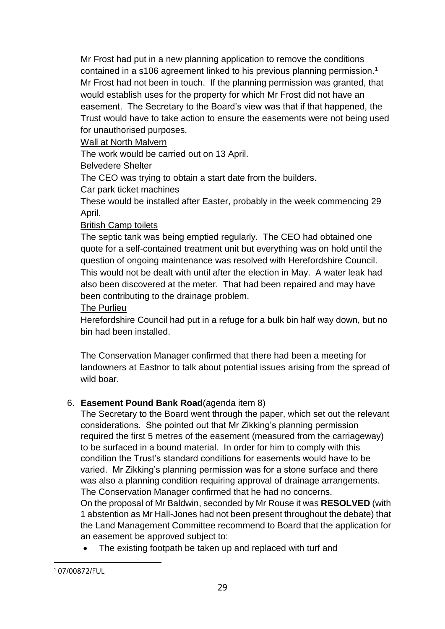Mr Frost had put in a new planning application to remove the conditions contained in a s106 agreement linked to his previous planning permission.<sup>1</sup> Mr Frost had not been in touch. If the planning permission was granted, that would establish uses for the property for which Mr Frost did not have an easement. The Secretary to the Board's view was that if that happened, the Trust would have to take action to ensure the easements were not being used for unauthorised purposes.

Wall at North Malvern

The work would be carried out on 13 April.

Belvedere Shelter

The CEO was trying to obtain a start date from the builders.

Car park ticket machines

These would be installed after Easter, probably in the week commencing 29 April.

# British Camp toilets

The septic tank was being emptied regularly. The CEO had obtained one quote for a self-contained treatment unit but everything was on hold until the question of ongoing maintenance was resolved with Herefordshire Council. This would not be dealt with until after the election in May. A water leak had also been discovered at the meter. That had been repaired and may have been contributing to the drainage problem.

The Purlieu

Herefordshire Council had put in a refuge for a bulk bin half way down, but no bin had been installed.

The Conservation Manager confirmed that there had been a meeting for landowners at Eastnor to talk about potential issues arising from the spread of wild boar.

# 6. **Easement Pound Bank Road**(agenda item 8)

The Secretary to the Board went through the paper, which set out the relevant considerations. She pointed out that Mr Zikking's planning permission required the first 5 metres of the easement (measured from the carriageway) to be surfaced in a bound material. In order for him to comply with this condition the Trust's standard conditions for easements would have to be varied. Mr Zikking's planning permission was for a stone surface and there was also a planning condition requiring approval of drainage arrangements. The Conservation Manager confirmed that he had no concerns.

On the proposal of Mr Baldwin, seconded by Mr Rouse it was **RESOLVED** (with 1 abstention as Mr Hall-Jones had not been present throughout the debate) that the Land Management Committee recommend to Board that the application for an easement be approved subject to:

• The existing footpath be taken up and replaced with turf and

<sup>&</sup>lt;sup>1</sup> 07/00872/FUL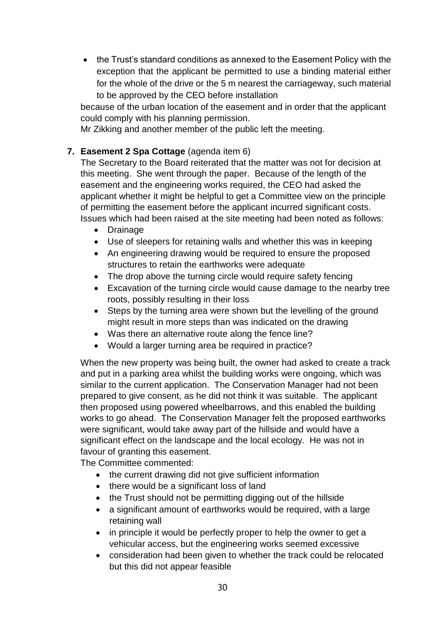the Trust's standard conditions as annexed to the Easement Policy with the exception that the applicant be permitted to use a binding material either for the whole of the drive or the 5 m nearest the carriageway, such material to be approved by the CEO before installation

because of the urban location of the easement and in order that the applicant could comply with his planning permission.

Mr Zikking and another member of the public left the meeting.

# **7. Easement 2 Spa Cottage** (agenda item 6)

The Secretary to the Board reiterated that the matter was not for decision at this meeting. She went through the paper. Because of the length of the easement and the engineering works required, the CEO had asked the applicant whether it might be helpful to get a Committee view on the principle of permitting the easement before the applicant incurred significant costs. Issues which had been raised at the site meeting had been noted as follows:

- Drainage
- Use of sleepers for retaining walls and whether this was in keeping
- An engineering drawing would be required to ensure the proposed structures to retain the earthworks were adequate
- The drop above the turning circle would require safety fencing
- Excavation of the turning circle would cause damage to the nearby tree roots, possibly resulting in their loss
- Steps by the turning area were shown but the levelling of the ground might result in more steps than was indicated on the drawing
- Was there an alternative route along the fence line?
- Would a larger turning area be required in practice?

When the new property was being built, the owner had asked to create a track and put in a parking area whilst the building works were ongoing, which was similar to the current application. The Conservation Manager had not been prepared to give consent, as he did not think it was suitable. The applicant then proposed using powered wheelbarrows, and this enabled the building works to go ahead. The Conservation Manager felt the proposed earthworks were significant, would take away part of the hillside and would have a significant effect on the landscape and the local ecology. He was not in favour of granting this easement.

The Committee commented:

- the current drawing did not give sufficient information
- there would be a significant loss of land
- the Trust should not be permitting digging out of the hillside
- a significant amount of earthworks would be required, with a large retaining wall
- in principle it would be perfectly proper to help the owner to get a vehicular access, but the engineering works seemed excessive
- consideration had been given to whether the track could be relocated but this did not appear feasible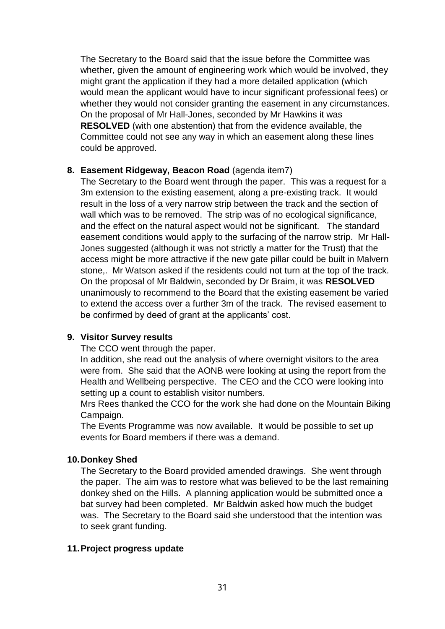The Secretary to the Board said that the issue before the Committee was whether, given the amount of engineering work which would be involved, they might grant the application if they had a more detailed application (which would mean the applicant would have to incur significant professional fees) or whether they would not consider granting the easement in any circumstances. On the proposal of Mr Hall-Jones, seconded by Mr Hawkins it was **RESOLVED** (with one abstention) that from the evidence available, the Committee could not see any way in which an easement along these lines could be approved.

#### **8. Easement Ridgeway, Beacon Road** (agenda item7)

The Secretary to the Board went through the paper. This was a request for a 3m extension to the existing easement, along a pre-existing track. It would result in the loss of a very narrow strip between the track and the section of wall which was to be removed. The strip was of no ecological significance, and the effect on the natural aspect would not be significant. The standard easement conditions would apply to the surfacing of the narrow strip. Mr Hall-Jones suggested (although it was not strictly a matter for the Trust) that the access might be more attractive if the new gate pillar could be built in Malvern stone,. Mr Watson asked if the residents could not turn at the top of the track. On the proposal of Mr Baldwin, seconded by Dr Braim, it was **RESOLVED** unanimously to recommend to the Board that the existing easement be varied to extend the access over a further 3m of the track. The revised easement to be confirmed by deed of grant at the applicants' cost.

## **9. Visitor Survey results**

The CCO went through the paper.

In addition, she read out the analysis of where overnight visitors to the area were from. She said that the AONB were looking at using the report from the Health and Wellbeing perspective. The CEO and the CCO were looking into setting up a count to establish visitor numbers.

Mrs Rees thanked the CCO for the work she had done on the Mountain Biking Campaign.

The Events Programme was now available. It would be possible to set up events for Board members if there was a demand.

## **10.Donkey Shed**

The Secretary to the Board provided amended drawings. She went through the paper. The aim was to restore what was believed to be the last remaining donkey shed on the Hills. A planning application would be submitted once a bat survey had been completed. Mr Baldwin asked how much the budget was. The Secretary to the Board said she understood that the intention was to seek grant funding.

## **11.Project progress update**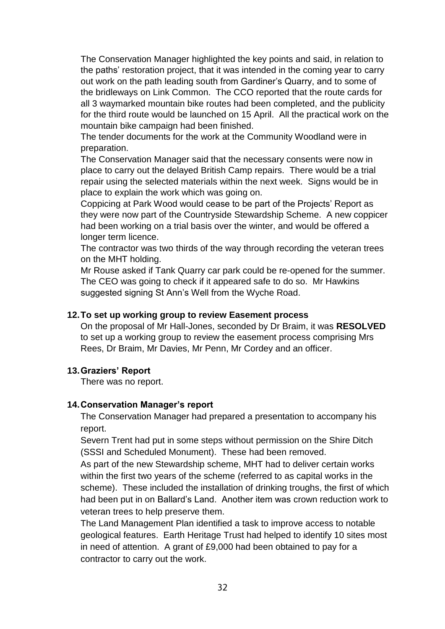The Conservation Manager highlighted the key points and said, in relation to the paths' restoration project, that it was intended in the coming year to carry out work on the path leading south from Gardiner's Quarry, and to some of the bridleways on Link Common. The CCO reported that the route cards for all 3 waymarked mountain bike routes had been completed, and the publicity for the third route would be launched on 15 April. All the practical work on the mountain bike campaign had been finished.

The tender documents for the work at the Community Woodland were in preparation.

The Conservation Manager said that the necessary consents were now in place to carry out the delayed British Camp repairs. There would be a trial repair using the selected materials within the next week. Signs would be in place to explain the work which was going on.

Coppicing at Park Wood would cease to be part of the Projects' Report as they were now part of the Countryside Stewardship Scheme. A new coppicer had been working on a trial basis over the winter, and would be offered a longer term licence.

The contractor was two thirds of the way through recording the veteran trees on the MHT holding.

Mr Rouse asked if Tank Quarry car park could be re-opened for the summer. The CEO was going to check if it appeared safe to do so. Mr Hawkins suggested signing St Ann's Well from the Wyche Road.

### **12.To set up working group to review Easement process**

On the proposal of Mr Hall-Jones, seconded by Dr Braim, it was **RESOLVED** to set up a working group to review the easement process comprising Mrs Rees, Dr Braim, Mr Davies, Mr Penn, Mr Cordey and an officer.

## **13.Graziers' Report**

There was no report.

#### **14.Conservation Manager's report**

The Conservation Manager had prepared a presentation to accompany his report.

Severn Trent had put in some steps without permission on the Shire Ditch (SSSI and Scheduled Monument). These had been removed.

As part of the new Stewardship scheme, MHT had to deliver certain works within the first two years of the scheme (referred to as capital works in the scheme). These included the installation of drinking troughs, the first of which had been put in on Ballard's Land. Another item was crown reduction work to veteran trees to help preserve them.

The Land Management Plan identified a task to improve access to notable geological features. Earth Heritage Trust had helped to identify 10 sites most in need of attention. A grant of £9,000 had been obtained to pay for a contractor to carry out the work.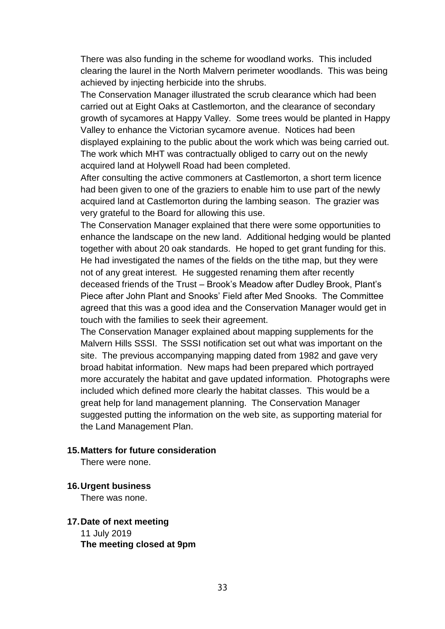There was also funding in the scheme for woodland works. This included clearing the laurel in the North Malvern perimeter woodlands. This was being achieved by injecting herbicide into the shrubs.

The Conservation Manager illustrated the scrub clearance which had been carried out at Eight Oaks at Castlemorton, and the clearance of secondary growth of sycamores at Happy Valley. Some trees would be planted in Happy Valley to enhance the Victorian sycamore avenue. Notices had been displayed explaining to the public about the work which was being carried out. The work which MHT was contractually obliged to carry out on the newly acquired land at Holywell Road had been completed.

After consulting the active commoners at Castlemorton, a short term licence had been given to one of the graziers to enable him to use part of the newly acquired land at Castlemorton during the lambing season. The grazier was very grateful to the Board for allowing this use.

The Conservation Manager explained that there were some opportunities to enhance the landscape on the new land. Additional hedging would be planted together with about 20 oak standards. He hoped to get grant funding for this. He had investigated the names of the fields on the tithe map, but they were not of any great interest. He suggested renaming them after recently deceased friends of the Trust – Brook's Meadow after Dudley Brook, Plant's Piece after John Plant and Snooks' Field after Med Snooks. The Committee agreed that this was a good idea and the Conservation Manager would get in touch with the families to seek their agreement.

The Conservation Manager explained about mapping supplements for the Malvern Hills SSSI. The SSSI notification set out what was important on the site. The previous accompanying mapping dated from 1982 and gave very broad habitat information. New maps had been prepared which portrayed more accurately the habitat and gave updated information. Photographs were included which defined more clearly the habitat classes. This would be a great help for land management planning. The Conservation Manager suggested putting the information on the web site, as supporting material for the Land Management Plan.

#### **15.Matters for future consideration**

There were none.

#### **16.Urgent business**

There was none.

#### **17.Date of next meeting** 11 July 2019 **The meeting closed at 9pm**